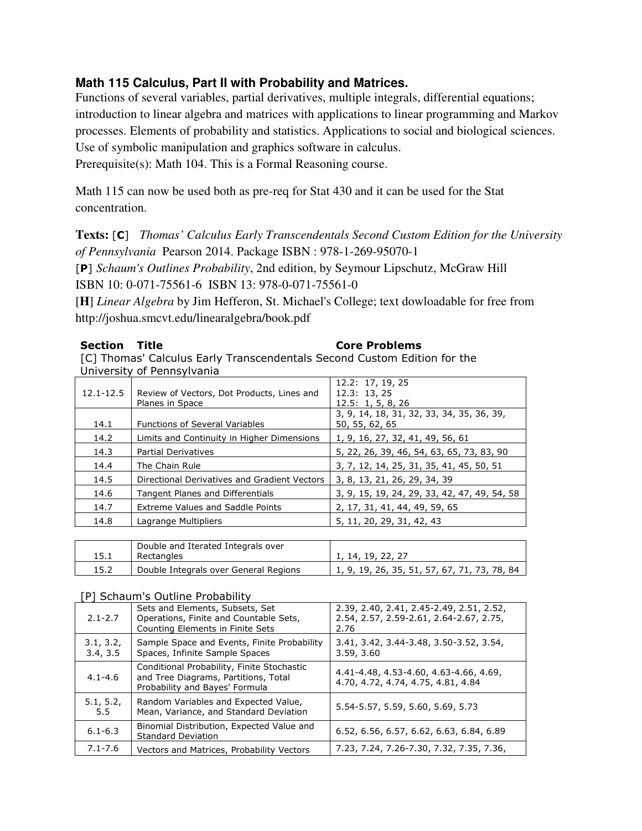# **Math 115 Calculus, Part II with Probability and Matrices.**

Functions of several variables, partial derivatives, multiple integrals, differential equations; introduction to linear algebra and matrices with applications to linear programming and Markov processes. Elements of probability and statistics. Applications to social and biological sciences. Use of symbolic manipulation and graphics software in calculus.

Prerequisite(s): Math 104. This is a Formal Reasoning course.

Math 115 can now be used both as pre-req for Stat 430 and it can be used for the Stat concentration.

## **Texts:** [C] *Thomas' Calculus Early Transcendentals Second Custom Edition for the University of Pennsylvania* Pearson 2014. Package ISBN : 978-1-269-95070-1

[P] *Schaum's Outlines Probability*, 2nd edition, by Seymour Lipschutz, McGraw Hill ISBN 10: 0-071-75561-6 ISBN 13: 978-0-071-75561-0

[**H**] *Linear Algebra* by Jim Hefferon, St. Michael's College; text dowloadable for free from http://joshua.smcvt.edu/linearalgebra/book.pdf

## Section Title **Core Problems**

[C] Thomas' Calculus Early Transcendentals Second Custom Edition for the University of Pennsylvania

| 12.1-12.5 | Review of Vectors, Dot Products, Lines and<br>Planes in Space | 12.2: 17, 19, 25<br>12.3: 13, 25<br>12.5: 1, 5, 8, 26       |
|-----------|---------------------------------------------------------------|-------------------------------------------------------------|
| 14.1      | <b>Functions of Several Variables</b>                         | 3, 9, 14, 18, 31, 32, 33, 34, 35, 36, 39,<br>50, 55, 62, 65 |
| 14.2      | Limits and Continuity in Higher Dimensions                    | 1, 9, 16, 27, 32, 41, 49, 56, 61                            |
| 14.3      | <b>Partial Derivatives</b>                                    | 5, 22, 26, 39, 46, 54, 63, 65, 73, 83, 90                   |
| 14.4      | The Chain Rule                                                | 3, 7, 12, 14, 25, 31, 35, 41, 45, 50, 51                    |
| 14.5      | Directional Derivatives and Gradient Vectors                  | 3, 8, 13, 21, 26, 29, 34, 39                                |
| 14.6      | Tangent Planes and Differentials                              | 3, 9, 15, 19, 24, 29, 33, 42, 47, 49, 54, 58                |
| 14.7      | <b>Extreme Values and Saddle Points</b>                       | 2, 17, 31, 41, 44, 49, 59, 65                               |
| 14.8      | Lagrange Multipliers                                          | 5, 11, 20, 29, 31, 42, 43                                   |

|      | Double and Iterated Integrals over    |                                              |
|------|---------------------------------------|----------------------------------------------|
|      | Rectangles                            | l. 14. 19. 22. 27                            |
| 15.2 | Double Integrals over General Regions | 1, 9, 19, 26, 35, 51, 57, 67, 71, 73, 78, 84 |

### [P] Schaum's Outline Probability

| $2.1 - 2.7$           | Sets and Elements, Subsets, Set<br>Operations, Finite and Countable Sets,<br>Counting Elements in Finite Sets        | 2.39, 2.40, 2.41, 2.45-2.49, 2.51, 2.52,<br>2.54, 2.57, 2.59-2.61, 2.64-2.67, 2.75,<br>2.76 |
|-----------------------|----------------------------------------------------------------------------------------------------------------------|---------------------------------------------------------------------------------------------|
| 3.1, 3.2,<br>3.4, 3.5 | Sample Space and Events, Finite Probability<br>Spaces, Infinite Sample Spaces                                        | 3.41, 3.42, 3.44-3.48, 3.50-3.52, 3.54,<br>3.59, 3.60                                       |
| $4.1 - 4.6$           | Conditional Probability, Finite Stochastic<br>and Tree Diagrams, Partitions, Total<br>Probability and Bayes' Formula | 4.41-4.48, 4.53-4.60, 4.63-4.66, 4.69,<br>4.70, 4.72, 4.74, 4.75, 4.81, 4.84                |
| 5.1, 5.2,<br>5.5      | Random Variables and Expected Value,<br>Mean, Variance, and Standard Deviation                                       | 5.54-5.57, 5.59, 5.60, 5.69, 5.73                                                           |
| $6.1 - 6.3$           | Binomial Distribution, Expected Value and<br><b>Standard Deviation</b>                                               | 6.52, 6.56, 6.57, 6.62, 6.63, 6.84, 6.89                                                    |
| $7.1 - 7.6$           | Vectors and Matrices, Probability Vectors                                                                            | 7.23, 7.24, 7.26-7.30, 7.32, 7.35, 7.36,                                                    |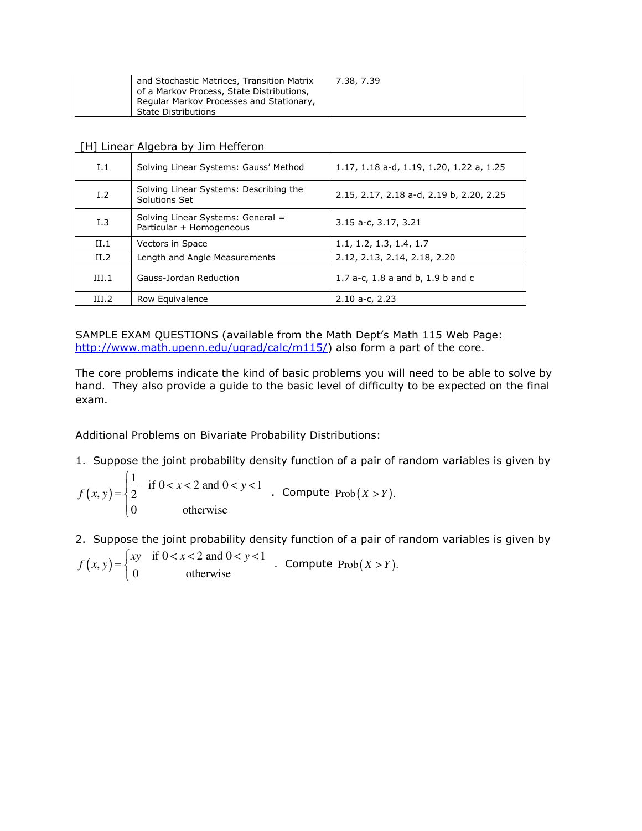| and Stochastic Matrices, Transition Matrix<br>of a Markov Process, State Distributions, | 7.38, 7.39 |
|-----------------------------------------------------------------------------------------|------------|
| Regular Markov Processes and Stationary,<br><b>State Distributions</b>                  |            |

[H] Linear Algebra by Jim Hefferon

| 1.1             | Solving Linear Systems: Gauss' Method                         | 1.17, 1.18 a-d, 1.19, 1.20, 1.22 a, 1.25 |
|-----------------|---------------------------------------------------------------|------------------------------------------|
| I.2             | Solving Linear Systems: Describing the<br>Solutions Set       | 2.15, 2.17, 2.18 a-d, 2.19 b, 2.20, 2.25 |
| I.3             | Solving Linear Systems: General =<br>Particular + Homogeneous | 3.15 a-c, 3.17, 3.21                     |
| II.1            | Vectors in Space                                              | 1.1, 1.2, 1.3, 1.4, 1.7                  |
| II.2            | Length and Angle Measurements                                 | 2.12, 2.13, 2.14, 2.18, 2.20             |
| III.1           | Gauss-Jordan Reduction                                        | 1.7 a-c, 1.8 a and b, 1.9 b and c        |
| TH <sub>2</sub> | Row Equivalence                                               | $2.10$ a-c, $2.23$                       |

SAMPLE EXAM QUESTIONS (available from the Math Dept's Math 115 Web Page: http://www.math.upenn.edu/ugrad/calc/m115/) also form a part of the core.

The core problems indicate the kind of basic problems you will need to be able to solve by hand. They also provide a guide to the basic level of difficulty to be expected on the final exam.

Additional Problems on Bivariate Probability Distributions:

1. Suppose the joint probability density function of a pair of random variables is given by

 $(x, y)$  $(y, y) = \begin{cases} \frac{1}{2} & \text{if } 0 < x < 2 \text{ and } 0 < y < 1 \end{cases}$ 0 otherwise  $f(x, y) = \begin{cases} \frac{1}{2} & \text{if } 0 < x < 2 \text{ and } 0 < y \end{cases}$  $=\begin{cases} \frac{1}{2} & \text{if } 0 < x < 2 \text{ and } 0 < y < \end{cases}$  $\overline{\mathcal{L}}$ . Compute  $\text{Prob}(X > Y)$ .

2. Suppose the joint probability density function of a pair of random variables is given by

 $(x, y) = \begin{cases} xy & \text{if } 0 < x < 2 \text{ and } 0 < y < 1 \\ 0 & \text{otherwise} \end{cases}$ 0 otherwise  $f(x, y) = \begin{cases} xy & \text{if } 0 < x < 2 \text{ and } 0 < y < x \end{cases}$  $\mathfrak{c}$ . Compute  $\mathrm{Prob}(X > Y)$ .